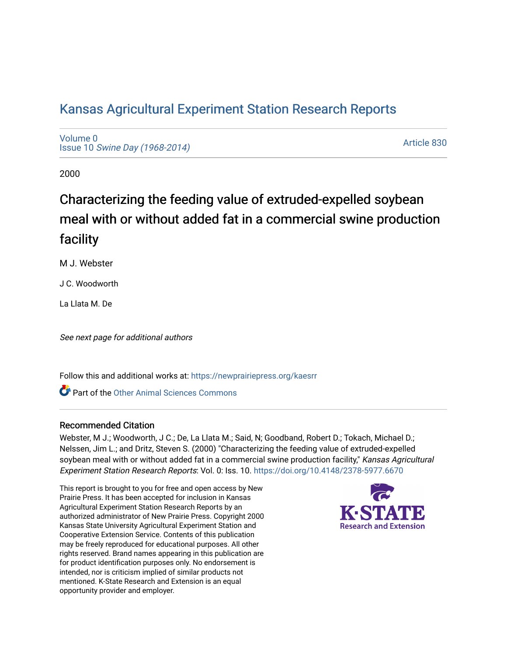# [Kansas Agricultural Experiment Station Research Reports](https://newprairiepress.org/kaesrr)

[Volume 0](https://newprairiepress.org/kaesrr/vol0) Issue 10 [Swine Day \(1968-2014\)](https://newprairiepress.org/kaesrr/vol0/iss10)

[Article 830](https://newprairiepress.org/kaesrr/vol0/iss10/830) 

2000

# Characterizing the feeding value of extruded-expelled soybean meal with or without added fat in a commercial swine production facility

M J. Webster

J C. Woodworth

La Llata M. De

See next page for additional authors

Follow this and additional works at: [https://newprairiepress.org/kaesrr](https://newprairiepress.org/kaesrr?utm_source=newprairiepress.org%2Fkaesrr%2Fvol0%2Fiss10%2F830&utm_medium=PDF&utm_campaign=PDFCoverPages) 

**C** Part of the [Other Animal Sciences Commons](http://network.bepress.com/hgg/discipline/82?utm_source=newprairiepress.org%2Fkaesrr%2Fvol0%2Fiss10%2F830&utm_medium=PDF&utm_campaign=PDFCoverPages)

#### Recommended Citation

Webster, M J.; Woodworth, J C.; De, La Llata M.; Said, N; Goodband, Robert D.; Tokach, Michael D.; Nelssen, Jim L.; and Dritz, Steven S. (2000) "Characterizing the feeding value of extruded-expelled soybean meal with or without added fat in a commercial swine production facility," Kansas Agricultural Experiment Station Research Reports: Vol. 0: Iss. 10. <https://doi.org/10.4148/2378-5977.6670>

This report is brought to you for free and open access by New Prairie Press. It has been accepted for inclusion in Kansas Agricultural Experiment Station Research Reports by an authorized administrator of New Prairie Press. Copyright 2000 Kansas State University Agricultural Experiment Station and Cooperative Extension Service. Contents of this publication may be freely reproduced for educational purposes. All other rights reserved. Brand names appearing in this publication are for product identification purposes only. No endorsement is intended, nor is criticism implied of similar products not mentioned. K-State Research and Extension is an equal opportunity provider and employer.

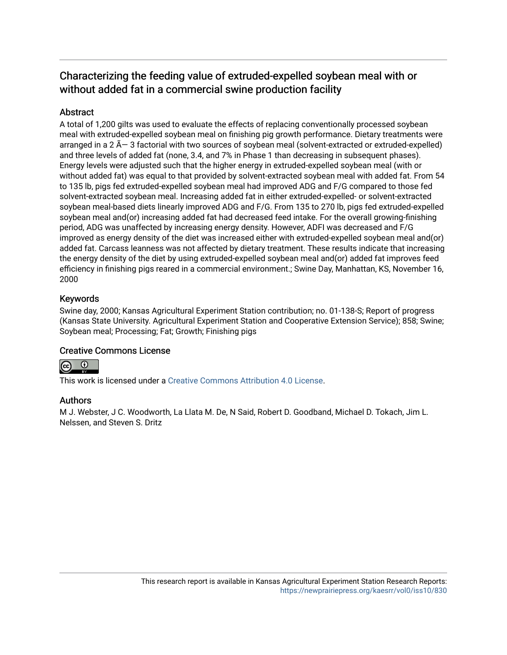# Characterizing the feeding value of extruded-expelled soybean meal with or without added fat in a commercial swine production facility

# **Abstract**

A total of 1,200 gilts was used to evaluate the effects of replacing conventionally processed soybean meal with extruded-expelled soybean meal on finishing pig growth performance. Dietary treatments were arranged in a  $2 \tilde{A}$  3 factorial with two sources of soybean meal (solvent-extracted or extruded-expelled) and three levels of added fat (none, 3.4, and 7% in Phase 1 than decreasing in subsequent phases). Energy levels were adjusted such that the higher energy in extruded-expelled soybean meal (with or without added fat) was equal to that provided by solvent-extracted soybean meal with added fat. From 54 to 135 lb, pigs fed extruded-expelled soybean meal had improved ADG and F/G compared to those fed solvent-extracted soybean meal. Increasing added fat in either extruded-expelled- or solvent-extracted soybean meal-based diets linearly improved ADG and F/G. From 135 to 270 lb, pigs fed extruded-expelled soybean meal and(or) increasing added fat had decreased feed intake. For the overall growing-finishing period, ADG was unaffected by increasing energy density. However, ADFI was decreased and F/G improved as energy density of the diet was increased either with extruded-expelled soybean meal and(or) added fat. Carcass leanness was not affected by dietary treatment. These results indicate that increasing the energy density of the diet by using extruded-expelled soybean meal and(or) added fat improves feed efficiency in finishing pigs reared in a commercial environment.; Swine Day, Manhattan, KS, November 16, 2000

## Keywords

Swine day, 2000; Kansas Agricultural Experiment Station contribution; no. 01-138-S; Report of progress (Kansas State University. Agricultural Experiment Station and Cooperative Extension Service); 858; Swine; Soybean meal; Processing; Fat; Growth; Finishing pigs

#### Creative Commons License



This work is licensed under a [Creative Commons Attribution 4.0 License](https://creativecommons.org/licenses/by/4.0/).

#### Authors

M J. Webster, J C. Woodworth, La Llata M. De, N Said, Robert D. Goodband, Michael D. Tokach, Jim L. Nelssen, and Steven S. Dritz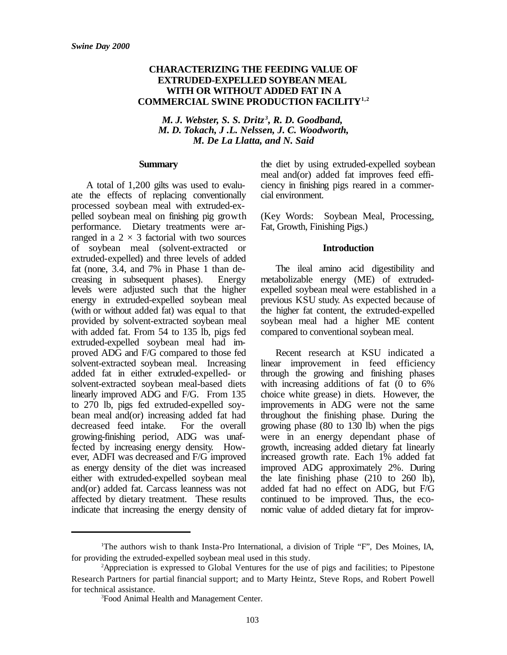#### **CHARACTERIZING THE FEEDING VALUE OF EXTRUDED-EXPELLED SOYBEAN MEAL WITH OR WITHOUT ADDED FAT IN A COMMERCIAL SWINE PRODUCTION FACILITY1,2**

*M. J. Webster, S. S. Dritz<sup>3</sup>, R. D. Goodband, M. D. Tokach, J .L. Nelssen, J. C. Woodworth, M. De La Llatta, and N. Said*

#### **Summary**

A total of 1,200 gilts was used to evaluate the effects of replacing conventionally processed soybean meal with extruded-expelled soybean meal on finishing pig growth performance. Dietary treatments were arranged in a  $2 \times 3$  factorial with two sources of soybean meal (solvent-extracted or extruded-expelled) and three levels of added fat (none, 3.4, and 7% in Phase 1 than decreasing in subsequent phases). Energy levels were adjusted such that the higher energy in extruded-expelled soybean meal (with or without added fat) was equal to that provided by solvent-extracted soybean meal with added fat. From 54 to 135 lb, pigs fed extruded-expelled soybean meal had improved ADG and F/G compared to those fed solvent-extracted soybean meal. Increasing added fat in either extruded-expelled- or solvent-extracted soybean meal-based diets linearly improved ADG and F/G. From 135 to 270 lb, pigs fed extruded-expelled soybean meal and(or) increasing added fat had decreased feed intake. For the overall growing-finishing period, ADG was unaffected by increasing energy density. However, ADFI was decreased and F/G improved as energy density of the diet was increased either with extruded-expelled soybean meal and(or) added fat. Carcass leanness was not affected by dietary treatment. These results indicate that increasing the energy density of the diet by using extruded-expelled soybean meal and(or) added fat improves feed efficiency in finishing pigs reared in a commercial environment.

(Key Words: Soybean Meal, Processing, Fat, Growth, Finishing Pigs.)

#### **Introduction**

The ileal amino acid digestibility and metabolizable energy (ME) of extrudedexpelled soybean meal were established in a previous KSU study. As expected because of the higher fat content, the extruded-expelled soybean meal had a higher ME content compared to conventional soybean meal.

Recent research at KSU indicated a linear improvement in feed efficiency through the growing and finishing phases with increasing additions of fat (0 to 6% choice white grease) in diets. However, the improvements in ADG were not the same throughout the finishing phase. During the growing phase (80 to 130 lb) when the pigs were in an energy dependant phase of growth, increasing added dietary fat linearly increased growth rate. Each 1% added fat improved ADG approximately 2%. During the late finishing phase (210 to 260 lb), added fat had no effect on ADG, but F/G continued to be improved. Thus, the economic value of added dietary fat for improv-

<sup>1</sup>The authors wish to thank Insta-Pro International, a division of Triple "F", Des Moines, IA, for providing the extruded-expelled soybean meal used in this study.

<sup>2</sup>Appreciation is expressed to Global Ventures for the use of pigs and facilities; to Pipestone Research Partners for partial financial support; and to Marty Heintz, Steve Rops, and Robert Powell for technical assistance.

<sup>3</sup>Food Animal Health and Management Center.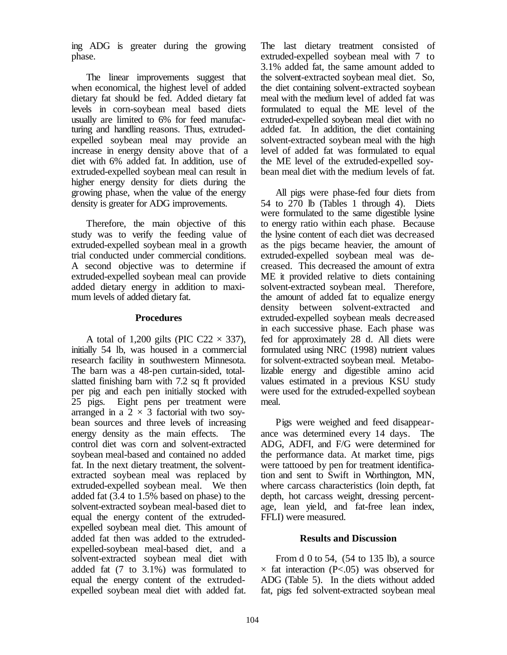ing ADG is greater during the growing phase.

The linear improvements suggest that when economical, the highest level of added dietary fat should be fed. Added dietary fat levels in corn-soybean meal based diets usually are limited to 6% for feed manufacturing and handling reasons. Thus, extrudedexpelled soybean meal may provide an increase in energy density above that of a diet with 6% added fat. In addition, use of extruded-expelled soybean meal can result in higher energy density for diets during the growing phase, when the value of the energy density is greater for ADG improvements.

Therefore, the main objective of this study was to verify the feeding value of extruded-expelled soybean meal in a growth trial conducted under commercial conditions. A second objective was to determine if extruded-expelled soybean meal can provide added dietary energy in addition to maximum levels of added dietary fat.

#### **Procedures**

A total of 1,200 gilts (PIC C22  $\times$  337), initially 54 lb, was housed in a commercial research facility in southwestern Minnesota. The barn was a 48-pen curtain-sided, totalslatted finishing barn with 7.2 sq ft provided per pig and each pen initially stocked with 25 pigs. Eight pens per treatment were arranged in a  $2 \times 3$  factorial with two soybean sources and three levels of increasing energy density as the main effects. The control diet was corn and solvent-extracted soybean meal-based and contained no added fat. In the next dietary treatment, the solventextracted soybean meal was replaced by extruded-expelled soybean meal. We then added fat (3.4 to 1.5% based on phase) to the solvent-extracted soybean meal-based diet to equal the energy content of the extrudedexpelled soybean meal diet. This amount of added fat then was added to the extrudedexpelled-soybean meal-based diet, and a solvent-extracted soybean meal diet with added fat (7 to 3.1%) was formulated to equal the energy content of the extrudedexpelled soybean meal diet with added fat.

The last dietary treatment consisted of extruded-expelled soybean meal with 7 to 3.1% added fat, the same amount added to the solvent-extracted soybean meal diet. So, the diet containing solvent-extracted soybean meal with the medium level of added fat was formulated to equal the ME level of the extruded-expelled soybean meal diet with no added fat. In addition, the diet containing solvent-extracted soybean meal with the high level of added fat was formulated to equal the ME level of the extruded-expelled soybean meal diet with the medium levels of fat.

All pigs were phase-fed four diets from 54 to 270 lb (Tables 1 through 4). Diets were formulated to the same digestible lysine to energy ratio within each phase. Because the lysine content of each diet was decreased as the pigs became heavier, the amount of extruded-expelled soybean meal was decreased. This decreased the amount of extra ME it provided relative to diets containing solvent-extracted soybean meal. Therefore, the amount of added fat to equalize energy density between solvent-extracted and extruded-expelled soybean meals decreased in each successive phase. Each phase was fed for approximately 28 d. All diets were formulated using NRC (1998) nutrient values for solvent-extracted soybean meal. Metabolizable energy and digestible amino acid values estimated in a previous KSU study were used for the extruded-expelled soybean meal.

Pigs were weighed and feed disappearance was determined every 14 days. The ADG, ADFI, and F/G were determined for the performance data. At market time, pigs were tattooed by pen for treatment identification and sent to Swift in Worthington, MN, where carcass characteristics (loin depth, fat depth, hot carcass weight, dressing percentage, lean yield, and fat-free lean index, FFLI) were measured.

#### **Results and Discussion**

From d 0 to 54, (54 to 135 lb), a source  $\times$  fat interaction (P<.05) was observed for ADG (Table 5). In the diets without added fat, pigs fed solvent-extracted soybean meal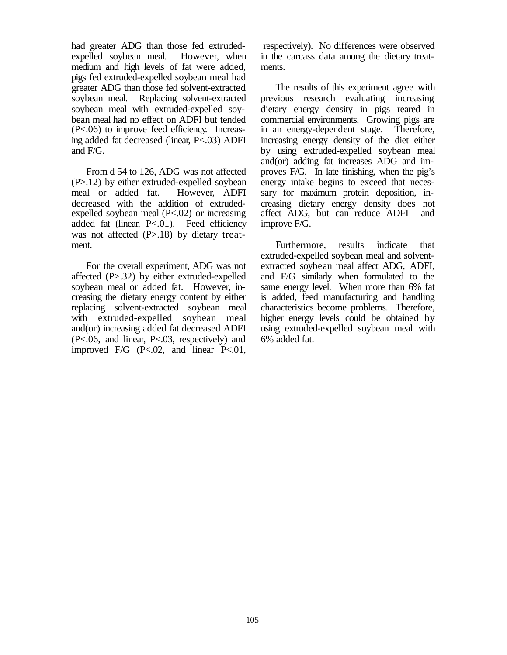had greater ADG than those fed extrudedexpelled soybean meal. However, when medium and high levels of fat were added, pigs fed extruded-expelled soybean meal had greater ADG than those fed solvent-extracted soybean meal. Replacing solvent-extracted soybean meal with extruded-expelled soybean meal had no effect on ADFI but tended (P<.06) to improve feed efficiency. Increasing added fat decreased (linear, P<.03) ADFI and F/G.

From d 54 to 126, ADG was not affected (P>.12) by either extruded-expelled soybean meal or added fat. However, ADFI decreased with the addition of extrudedexpelled soybean meal (P<.02) or increasing added fat (linear, P<.01). Feed efficiency was not affected (P>.18) by dietary treatment.

For the overall experiment, ADG was not affected (P>.32) by either extruded-expelled soybean meal or added fat. However, increasing the dietary energy content by either replacing solvent-extracted soybean meal with extruded-expelled soybean meal and(or) increasing added fat decreased ADFI (P<.06, and linear, P<.03, respectively) and improved F/G (P<.02, and linear P<.01,

 respectively). No differences were observed in the carcass data among the dietary treatments.

The results of this experiment agree with previous research evaluating increasing dietary energy density in pigs reared in commercial environments. Growing pigs are in an energy-dependent stage. Therefore, increasing energy density of the diet either by using extruded-expelled soybean meal and(or) adding fat increases ADG and improves F/G. In late finishing, when the pig's energy intake begins to exceed that necessary for maximum protein deposition, increasing dietary energy density does not affect ADG, but can reduce ADFI and improve F/G.

Furthermore, results indicate that extruded-expelled soybean meal and solventextracted soybean meal affect ADG, ADFI, and F/G similarly when formulated to the same energy level. When more than 6% fat is added, feed manufacturing and handling characteristics become problems. Therefore, higher energy levels could be obtained by using extruded-expelled soybean meal with 6% added fat.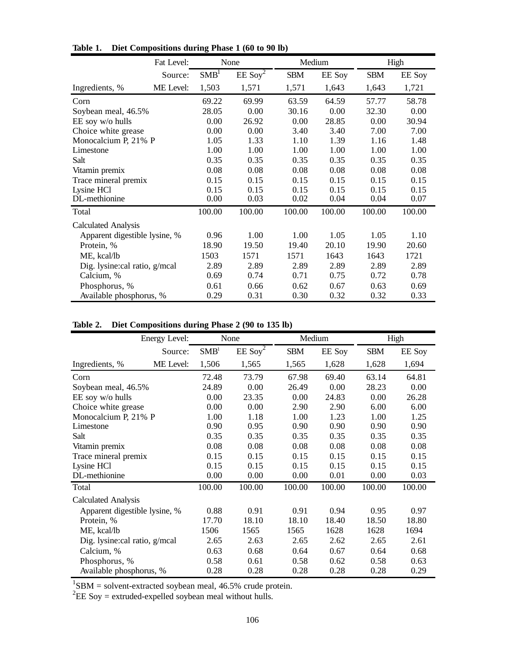|                               | Fat Level: |                  | None                  | Medium     |               | High       |        |  |
|-------------------------------|------------|------------------|-----------------------|------------|---------------|------------|--------|--|
|                               | Source:    | SMB <sup>1</sup> | $EE$ Soy <sup>2</sup> | <b>SBM</b> | <b>EE</b> Soy | <b>SBM</b> | EE Soy |  |
| Ingredients, %                | ME Level:  | 1,503            | 1,571                 | 1,571      | 1,643         | 1,643      | 1,721  |  |
| Corn                          |            | 69.22            | 69.99                 | 63.59      | 64.59         | 57.77      | 58.78  |  |
| Soybean meal, 46.5%           |            | 28.05            | 0.00                  | 30.16      | 0.00          | 32.30      | 0.00   |  |
| EE soy w/o hulls              |            | 0.00             | 26.92                 | 0.00       | 28.85         | 0.00       | 30.94  |  |
| Choice white grease           |            | 0.00             | 0.00                  | 3.40       | 3.40          | 7.00       | 7.00   |  |
| Monocalcium P, 21% P          |            | 1.05             | 1.33                  | 1.10       | 1.39          | 1.16       | 1.48   |  |
| Limestone                     |            | 1.00             | 1.00                  | 1.00       | 1.00          | 1.00       | 1.00   |  |
| Salt                          |            | 0.35             | 0.35                  | 0.35       | 0.35          | 0.35       | 0.35   |  |
| Vitamin premix                |            | 0.08             | 0.08                  | 0.08       | 0.08          | 0.08       | 0.08   |  |
| Trace mineral premix          |            | 0.15             | 0.15                  | 0.15       | 0.15          | 0.15       | 0.15   |  |
| Lysine HCl                    |            | 0.15             | 0.15                  | 0.15       | 0.15          | 0.15       | 0.15   |  |
| DL-methionine                 |            | 0.00             | 0.03                  | 0.02       | 0.04          | 0.04       | 0.07   |  |
| Total                         |            | 100.00           | 100.00                | 100.00     | 100.00        | 100.00     | 100.00 |  |
| <b>Calculated Analysis</b>    |            |                  |                       |            |               |            |        |  |
| Apparent digestible lysine, % |            | 0.96             | 1.00                  | 1.00       | 1.05          | 1.05       | 1.10   |  |
| Protein, %                    |            | 18.90            | 19.50                 | 19.40      | 20.10         | 19.90      | 20.60  |  |
| ME, kcal/lb                   |            | 1503             | 1571                  | 1571       | 1643          | 1643       | 1721   |  |
| Dig. lysine:cal ratio, g/mcal |            | 2.89             | 2.89                  | 2.89       | 2.89          | 2.89       | 2.89   |  |
| Calcium, %                    | 0.69       | 0.74             | 0.71                  | 0.75       | 0.72          | 0.78       |        |  |
| Phosphorus, %                 |            | 0.61             | 0.66                  | 0.62       | 0.67          | 0.63       | 0.69   |  |
| Available phosphorus, %       | 0.29       | 0.31             | 0.30                  | 0.32       | 0.32          | 0.33       |        |  |

**Table 1. Diet Compositions during Phase 1 (60 to 90 lb)**

# **Table 2. Diet Compositions during Phase 2 (90 to 135 lb)**

| Energy Level:                 |           | None   | Medium                |            |               | High          |               |  |  |  |
|-------------------------------|-----------|--------|-----------------------|------------|---------------|---------------|---------------|--|--|--|
|                               | Source:   |        | $EE$ Soy <sup>2</sup> | <b>SBM</b> | <b>EE</b> Soy | <b>SBM</b>    | <b>EE</b> Soy |  |  |  |
| Ingredients, %                | ME Level: | 1,506  | 1,565                 | 1,565      | 1,628         | 1,628         | 1,694         |  |  |  |
| Corn                          | 72.48     | 73.79  | 67.98                 | 69.40      | 63.14         | 64.81         |               |  |  |  |
| Soybean meal, 46.5%           |           | 24.89  | 0.00                  | 26.49      | 0.00          | 28.23         | 0.00          |  |  |  |
| EE soy w/o hulls              |           | 0.00   | 23.35                 | 0.00       | 24.83         | 0.00<br>26.28 |               |  |  |  |
| Choice white grease           |           | 0.00   | 0.00                  | 2.90       | 2.90          | 6.00          | 6.00          |  |  |  |
| Monocalcium P, 21% P          |           | 1.00   | 1.18                  | 1.00       | 1.23          | 1.00          | 1.25          |  |  |  |
| Limestone                     |           | 0.90   | 0.95                  | 0.90       | 0.90          | 0.90          | 0.90          |  |  |  |
| Salt                          |           | 0.35   | 0.35                  | 0.35       | 0.35          | 0.35          | 0.35          |  |  |  |
| Vitamin premix                |           | 0.08   | 0.08                  | 0.08       | 0.08          | 0.08          | 0.08          |  |  |  |
| Trace mineral premix          | 0.15      | 0.15   | 0.15                  | 0.15       | 0.15          | 0.15          |               |  |  |  |
| Lysine HCl                    |           | 0.15   | 0.15                  | 0.15       | 0.15          | 0.15          | 0.15          |  |  |  |
| DL-methionine                 |           | 0.00   | 0.00                  | 0.00       | 0.01          | 0.00          | 0.03          |  |  |  |
| Total                         |           | 100.00 | 100.00                | 100.00     | 100.00        | 100.00        | 100.00        |  |  |  |
| <b>Calculated Analysis</b>    |           |        |                       |            |               |               |               |  |  |  |
| Apparent digestible lysine, % |           | 0.88   | 0.91                  | 0.91       | 0.94          | 0.95          | 0.97          |  |  |  |
| Protein, %                    | 17.70     | 18.10  | 18.10                 | 18.40      | 18.50         | 18.80         |               |  |  |  |
| ME, kcal/lb                   | 1506      | 1565   | 1565                  | 1628       | 1628          | 1694          |               |  |  |  |
| Dig. lysine:cal ratio, g/mcal | 2.65      | 2.63   | 2.65                  | 2.62       | 2.65          | 2.61          |               |  |  |  |
| Calcium, %                    | 0.63      | 0.68   | 0.64                  | 0.67       | 0.64          | 0.68          |               |  |  |  |
| Phosphorus, %                 | 0.58      | 0.61   | 0.58                  | 0.62       | 0.58          | 0.63          |               |  |  |  |
| Available phosphorus, %       |           | 0.28   | 0.28                  | 0.28       | 0.28          | 0.28          | 0.29          |  |  |  |

<sup>1</sup>SBM = solvent-extracted soybean meal, 46.5% crude protein.<br><sup>2</sup>EE Soy = extruded-expelled soybean meal without hulls.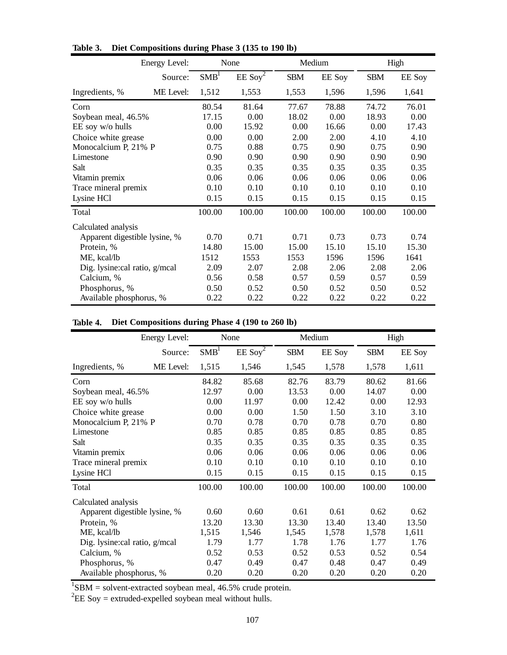|                               | Energy Level: |                  | None                  | Medium     |               | High         |        |  |  |
|-------------------------------|---------------|------------------|-----------------------|------------|---------------|--------------|--------|--|--|
|                               | Source:       | SMB <sup>1</sup> | $EE$ Soy <sup>2</sup> | <b>SBM</b> | <b>EE</b> Soy | <b>SBM</b>   | EE Soy |  |  |
| Ingredients, %                | ME Level:     | 1,512            | 1,553                 | 1,553      | 1,596         | 1,596        | 1,641  |  |  |
| Corn                          |               | 80.54            | 81.64                 | 77.67      | 78.88         | 74.72        | 76.01  |  |  |
| Soybean meal, 46.5%           |               | 17.15            | 0.00                  | 18.02      | 0.00          | 18.93        | 0.00   |  |  |
| EE soy w/o hulls              |               | 0.00             | 15.92                 | 0.00       | 16.66         | 0.00         | 17.43  |  |  |
| Choice white grease           |               | 0.00             | 0.00                  | 2.00       | 2.00          | 4.10         | 4.10   |  |  |
| Monocalcium P, 21% P          |               | 0.75             | 0.88                  | 0.75       | 0.90          | 0.75<br>0.90 |        |  |  |
| Limestone                     |               | 0.90             | 0.90                  | 0.90       | 0.90          | 0.90         | 0.90   |  |  |
| Salt                          |               | 0.35             | 0.35                  | 0.35       | 0.35          | 0.35         | 0.35   |  |  |
| Vitamin premix                |               | 0.06             | 0.06                  | 0.06       | 0.06          | 0.06         | 0.06   |  |  |
| Trace mineral premix          |               | 0.10             | 0.10                  | 0.10       | 0.10          | 0.10         | 0.10   |  |  |
| Lysine HCl                    |               | 0.15             | 0.15                  | 0.15       | 0.15          | 0.15         | 0.15   |  |  |
| Total                         |               | 100.00           | 100.00                | 100.00     | 100.00        | 100.00       | 100.00 |  |  |
| Calculated analysis           |               |                  |                       |            |               |              |        |  |  |
| Apparent digestible lysine, % |               | 0.70             | 0.71                  | 0.71       | 0.73          | 0.73         | 0.74   |  |  |
| Protein, %                    |               | 14.80            | 15.00                 | 15.00      | 15.10         | 15.10        | 15.30  |  |  |
| ME, kcal/lb                   | 1512          | 1553             | 1553                  | 1596       | 1596          | 1641         |        |  |  |
| Dig. lysine:cal ratio, g/mcal | 2.09          | 2.07             | 2.08                  | 2.06       | 2.08          | 2.06         |        |  |  |
| Calcium, %                    | 0.56          | 0.58             | 0.57                  | 0.59       | 0.57          | 0.59         |        |  |  |
| Phosphorus, %                 | 0.50          | 0.52             | 0.50                  | 0.52       | 0.50          | 0.52         |        |  |  |
| Available phosphorus, %       | 0.22          | 0.22             | 0.22                  | 0.22       | 0.22          | 0.22         |        |  |  |

**Table 3. Diet Compositions during Phase 3 (135 to 190 lb)**

### **Table 4. Diet Compositions during Phase 4 (190 to 260 lb)**

| Energy Level:                 |           | None   | Medium                |            | High          |               |               |  |  |
|-------------------------------|-----------|--------|-----------------------|------------|---------------|---------------|---------------|--|--|
|                               | Source:   |        | $EE$ Soy <sup>2</sup> | <b>SBM</b> | <b>EE</b> Soy | <b>SBM</b>    | <b>EE</b> Soy |  |  |
| Ingredients, %                | ME Level: | 1,515  | 1,546                 | 1,545      | 1,578         | 1,578         | 1,611         |  |  |
| Corn                          |           | 84.82  | 85.68                 | 82.76      | 83.79         | 80.62         | 81.66         |  |  |
| Soybean meal, 46.5%           |           | 12.97  | 0.00                  | 13.53      | 0.00          | 14.07<br>0.00 |               |  |  |
| EE soy w/o hulls              |           | 0.00   | 11.97                 | 0.00       | 12.42         | 0.00          | 12.93         |  |  |
| Choice white grease           |           | 0.00   | 0.00                  | 1.50       | 1.50          | 3.10          | 3.10          |  |  |
| Monocalcium P, 21% P          |           | 0.70   | 0.78                  | 0.70       | 0.78          | 0.70          | 0.80          |  |  |
| Limestone                     |           | 0.85   | 0.85                  | 0.85       | 0.85          | 0.85          | 0.85          |  |  |
| Salt                          |           | 0.35   | 0.35                  | 0.35       | 0.35          | 0.35          | 0.35          |  |  |
| Vitamin premix                | 0.06      | 0.06   | 0.06                  | 0.06       | 0.06          | 0.06          |               |  |  |
| Trace mineral premix          | 0.10      | 0.10   | 0.10                  | 0.10       | 0.10          | 0.10          |               |  |  |
| Lysine HCl                    |           | 0.15   | 0.15                  | 0.15       | 0.15          | 0.15          | 0.15          |  |  |
| Total                         |           | 100.00 | 100.00                | 100.00     | 100.00        | 100.00        | 100.00        |  |  |
| Calculated analysis           |           |        |                       |            |               |               |               |  |  |
| Apparent digestible lysine, % |           | 0.60   | 0.60                  | 0.61       | 0.61          | 0.62          | 0.62          |  |  |
| Protein, %                    |           | 13.20  | 13.30                 | 13.30      | 13.40         | 13.40         | 13.50         |  |  |
| ME, kcal/lb                   | 1,515     | 1,546  | 1,545                 | 1,578      | 1,578         | 1,611         |               |  |  |
| Dig. lysine:cal ratio, g/mcal | 1.79      | 1.77   | 1.78                  | 1.76       | 1.77          | 1.76          |               |  |  |
| Calcium, %                    |           | 0.52   | 0.53                  | 0.52       | 0.53          | 0.52          | 0.54          |  |  |
| Phosphorus, %                 | 0.47      | 0.49   | 0.47                  | 0.48       | 0.47          | 0.49          |               |  |  |
| Available phosphorus, %       |           | 0.20   | 0.20                  | 0.20       | 0.20          | 0.20          | 0.20          |  |  |

<sup>1</sup>SBM = solvent-extracted soybean meal, 46.5% crude protein.<br><sup>2</sup>EE Soy = extruded-expelled soybean meal without hulls.